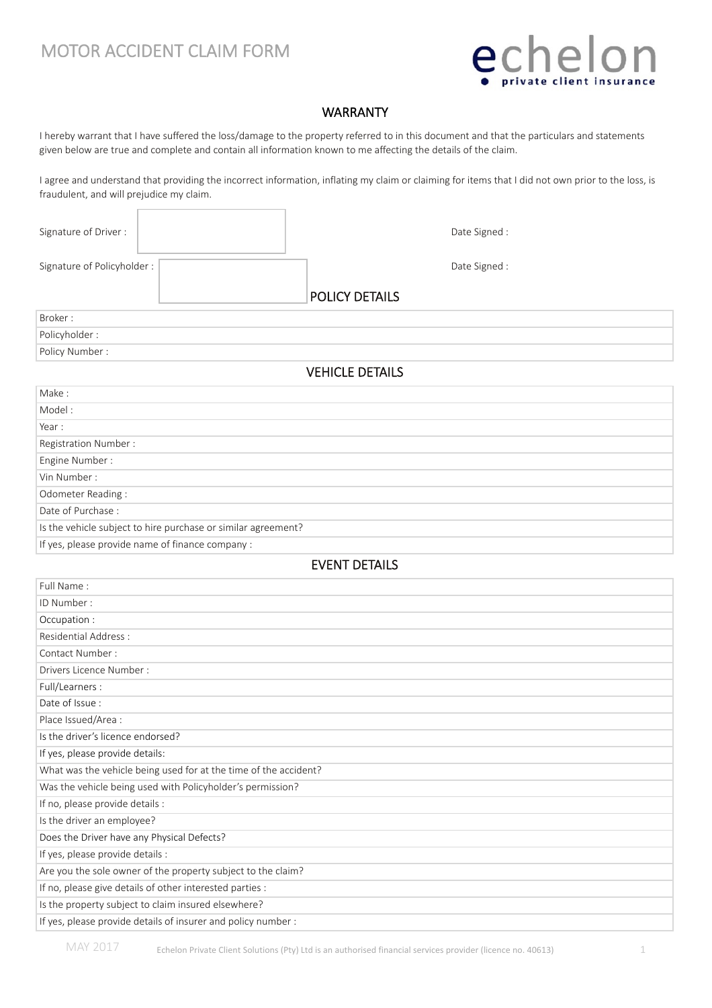## MOTOR ACCIDENT CLAIM FORM



### WARRANTY

I hereby warrant that I have suffered the loss/damage to the property referred to in this document and that the particulars and statements given below are true and complete and contain all information known to me affecting the details of the claim.

I agree and understand that providing the incorrect information, inflating my claim or claiming for items that I did not own prior to the loss, is fraudulent, and will prejudice my claim.

| Signature of Driver:                                             |                                                               |                       | Date Signed : |  |  |
|------------------------------------------------------------------|---------------------------------------------------------------|-----------------------|---------------|--|--|
| Signature of Policyholder:                                       |                                                               |                       | Date Signed : |  |  |
|                                                                  |                                                               |                       |               |  |  |
|                                                                  |                                                               | <b>POLICY DETAILS</b> |               |  |  |
| Broker:                                                          |                                                               |                       |               |  |  |
| Policyholder:                                                    |                                                               |                       |               |  |  |
| Policy Number:                                                   |                                                               |                       |               |  |  |
| <b>VEHICLE DETAILS</b>                                           |                                                               |                       |               |  |  |
| Make:                                                            |                                                               |                       |               |  |  |
| Model:                                                           |                                                               |                       |               |  |  |
| Year:                                                            |                                                               |                       |               |  |  |
| Registration Number:                                             |                                                               |                       |               |  |  |
| Engine Number:                                                   |                                                               |                       |               |  |  |
| Vin Number:                                                      |                                                               |                       |               |  |  |
| Odometer Reading:                                                |                                                               |                       |               |  |  |
| Date of Purchase:                                                |                                                               |                       |               |  |  |
|                                                                  | Is the vehicle subject to hire purchase or similar agreement? |                       |               |  |  |
|                                                                  | If yes, please provide name of finance company :              |                       |               |  |  |
|                                                                  |                                                               | <b>EVENT DETAILS</b>  |               |  |  |
| Full Name:                                                       |                                                               |                       |               |  |  |
| ID Number:                                                       |                                                               |                       |               |  |  |
| Occupation:                                                      |                                                               |                       |               |  |  |
| <b>Residential Address:</b>                                      |                                                               |                       |               |  |  |
| Contact Number:                                                  |                                                               |                       |               |  |  |
| Drivers Licence Number:                                          |                                                               |                       |               |  |  |
| Full/Learners :                                                  |                                                               |                       |               |  |  |
| Date of Issue:                                                   |                                                               |                       |               |  |  |
| Place Issued/Area :                                              |                                                               |                       |               |  |  |
| Is the driver's licence endorsed?                                |                                                               |                       |               |  |  |
| If yes, please provide details:                                  |                                                               |                       |               |  |  |
| What was the vehicle being used for at the time of the accident? |                                                               |                       |               |  |  |
| Was the vehicle being used with Policyholder's permission?       |                                                               |                       |               |  |  |
| If no, please provide details :                                  |                                                               |                       |               |  |  |
| Is the driver an employee?                                       |                                                               |                       |               |  |  |
| Does the Driver have any Physical Defects?                       |                                                               |                       |               |  |  |
| If yes, please provide details :                                 |                                                               |                       |               |  |  |
| Are you the sole owner of the property subject to the claim?     |                                                               |                       |               |  |  |
| If no, please give details of other interested parties :         |                                                               |                       |               |  |  |
|                                                                  | Is the property subject to claim insured elsewhere?           |                       |               |  |  |
| If yes, please provide details of insurer and policy number :    |                                                               |                       |               |  |  |

MAY 2017 Echelon Private Client Solutions (Pty) Ltd is an authorised financial services provider (licence no. 40613)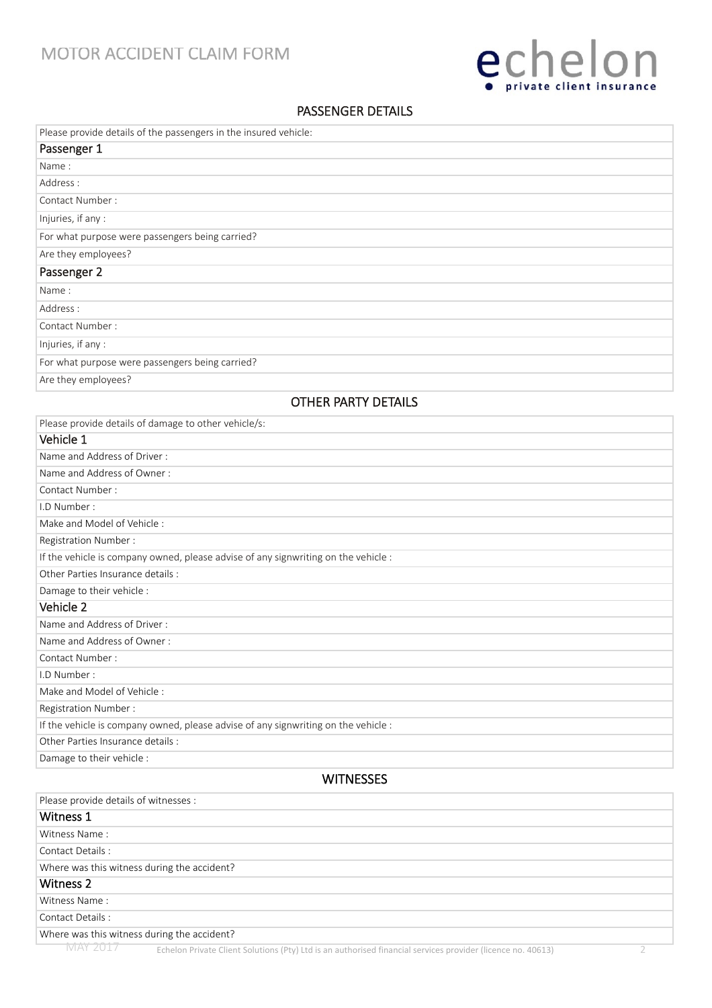

### PASSENGER DETAILS

| Please provide details of the passengers in the insured vehicle:                                                        |  |
|-------------------------------------------------------------------------------------------------------------------------|--|
| Passenger 1                                                                                                             |  |
| Name:                                                                                                                   |  |
| Address:                                                                                                                |  |
| Contact Number:                                                                                                         |  |
| Injuries, if any :                                                                                                      |  |
| For what purpose were passengers being carried?                                                                         |  |
| Are they employees?                                                                                                     |  |
| Passenger 2                                                                                                             |  |
| Name:                                                                                                                   |  |
| Address:                                                                                                                |  |
| Contact Number:                                                                                                         |  |
| Injuries, if any :                                                                                                      |  |
| For what purpose were passengers being carried?                                                                         |  |
| Are they employees?                                                                                                     |  |
| <b>OTHER PARTY DETAILS</b>                                                                                              |  |
|                                                                                                                         |  |
| Please provide details of damage to other vehicle/s:                                                                    |  |
| Vehicle 1                                                                                                               |  |
| Name and Address of Driver:                                                                                             |  |
| Name and Address of Owner:                                                                                              |  |
| Contact Number:                                                                                                         |  |
| I.D Number:                                                                                                             |  |
| Make and Model of Vehicle:                                                                                              |  |
| Registration Number:                                                                                                    |  |
| If the vehicle is company owned, please advise of any signwriting on the vehicle :<br>Other Parties Insurance details : |  |
| Damage to their vehicle :                                                                                               |  |
| Vehicle 2                                                                                                               |  |
| Name and Address of Driver:                                                                                             |  |
| Name and Address of Owner:                                                                                              |  |
| Contact Number:                                                                                                         |  |
| I.D Number:                                                                                                             |  |
| Make and Model of Vehicle:                                                                                              |  |
| Registration Number:                                                                                                    |  |
| If the vehicle is company owned, please advise of any signwriting on the vehicle :                                      |  |
| Other Parties Insurance details :                                                                                       |  |
| Damage to their vehicle :                                                                                               |  |
| <b>WITNESSES</b>                                                                                                        |  |
| Please provide details of witnesses :                                                                                   |  |
| Witness 1                                                                                                               |  |
| Witness Name:                                                                                                           |  |
| Contact Details :                                                                                                       |  |
| Where was this witness during the accident?                                                                             |  |
| <b>Witness 2</b>                                                                                                        |  |
| Witness Name:                                                                                                           |  |
| Contact Details:                                                                                                        |  |
| Where was this witness during the accident?                                                                             |  |
|                                                                                                                         |  |

 $\overline{\text{MAX 2017}}$  Echelon Private Client Solutions (Pty) Ltd is an authorised financial services provider (licence no. 40613) 2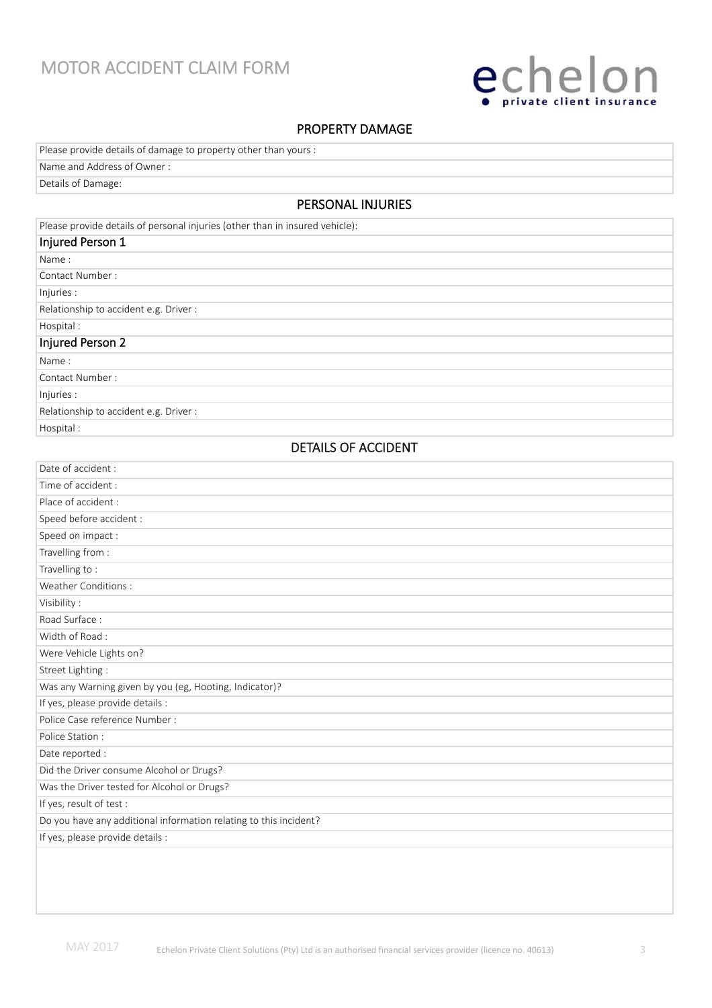## MOTOR ACCIDENT CLAIM FORM



### PROPERTY DAMAGE

| Details of Damage:                                              |
|-----------------------------------------------------------------|
| Name and Address of Owner:                                      |
| Please provide details of damage to property other than yours : |

PERSONAL INJURIES

| Please provide details of personal injuries (other than in insured vehicle): |
|------------------------------------------------------------------------------|
| Injured Person 1                                                             |
| Name:                                                                        |
| Contact Number:                                                              |
| Injuries :                                                                   |
| Relationship to accident e.g. Driver :                                       |
| Hospital:                                                                    |
| Injured Person 2                                                             |
| Name:                                                                        |
| Contact Number:                                                              |
| Injuries :                                                                   |
| Relationship to accident e.g. Driver :                                       |
| Hospital:                                                                    |

### DETAILS OF ACCIDENT

| Date of accident :                                                |  |  |
|-------------------------------------------------------------------|--|--|
| Time of accident:                                                 |  |  |
| Place of accident :                                               |  |  |
| Speed before accident :                                           |  |  |
| Speed on impact:                                                  |  |  |
| Travelling from:                                                  |  |  |
| Travelling to:                                                    |  |  |
| Weather Conditions:                                               |  |  |
| Visibility:                                                       |  |  |
| Road Surface:                                                     |  |  |
| Width of Road:                                                    |  |  |
| Were Vehicle Lights on?                                           |  |  |
| Street Lighting:                                                  |  |  |
| Was any Warning given by you (eg, Hooting, Indicator)?            |  |  |
| If yes, please provide details :                                  |  |  |
| Police Case reference Number :                                    |  |  |
| Police Station:                                                   |  |  |
| Date reported :                                                   |  |  |
| Did the Driver consume Alcohol or Drugs?                          |  |  |
| Was the Driver tested for Alcohol or Drugs?                       |  |  |
| If yes, result of test :                                          |  |  |
| Do you have any additional information relating to this incident? |  |  |
| If yes, please provide details :                                  |  |  |
|                                                                   |  |  |
|                                                                   |  |  |